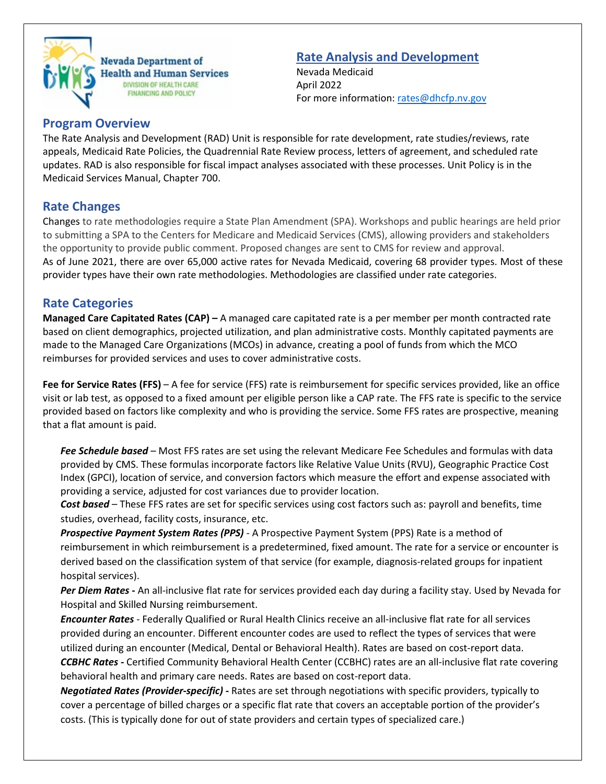

**Nevada Department of** Health and Human Services DIVISION OF HEALTH CARE **FINANCING AND POLICY** 

## **Rate Analysis and Development**

Nevada Medicaid April 2022 For more information[: rates@dhcfp.nv.gov](mailto:rates@dhcfp.nv.gov)

### **Program Overview**

The Rate Analysis and Development (RAD) Unit is responsible for rate development, rate studies/reviews, rate appeals, Medicaid Rate Policies, the Quadrennial Rate Review process, letters of agreement, and scheduled rate updates. RAD is also responsible for fiscal impact analyses associated with these processes. Unit Policy is in the Medicaid Services Manual, Chapter 700.

# **Rate Changes**

Changes to rate methodologies require a State Plan Amendment (SPA). Workshops and public hearings are held prior to submitting a SPA to the Centers for Medicare and Medicaid Services (CMS), allowing providers and stakeholders the opportunity to provide public comment. Proposed changes are sent to CMS for review and approval. As of June 2021, there are over 65,000 active rates for Nevada Medicaid, covering 68 provider types. Most of these provider types have their own rate methodologies. Methodologies are classified under rate categories.

# **Rate Categories**

**Managed Care Capitated Rates (CAP) –** A managed care capitated rate is a per member per month contracted rate based on client demographics, projected utilization, and plan administrative costs. Monthly capitated payments are made to the Managed Care Organizations (MCOs) in advance, creating a pool of funds from which the MCO reimburses for provided services and uses to cover administrative costs.

**Fee for Service Rates (FFS)** – A fee for service (FFS) rate is reimbursement for specific services provided, like an office visit or lab test, as opposed to a fixed amount per eligible person like a CAP rate. The FFS rate is specific to the service provided based on factors like complexity and who is providing the service. Some FFS rates are prospective, meaning that a flat amount is paid.

*Fee Schedule based* – Most FFS rates are set using the relevant Medicare Fee Schedules and formulas with data provided by CMS. These formulas incorporate factors like Relative Value Units (RVU), Geographic Practice Cost Index (GPCI), location of service, and conversion factors which measure the effort and expense associated with providing a service, adjusted for cost variances due to provider location.

*Cost based* – These FFS rates are set for specific services using cost factors such as: payroll and benefits, time studies, overhead, facility costs, insurance, etc.

*Prospective Payment System Rates (PPS)* - A Prospective Payment System (PPS) Rate is a method of reimbursement in which reimbursement is a predetermined, fixed amount. The rate for a service or encounter is derived based on the classification system of that service (for example, diagnosis-related groups for inpatient hospital services).

*Per Diem Rates -* An all-inclusive flat rate for services provided each day during a facility stay. Used by Nevada for Hospital and Skilled Nursing reimbursement.

*Encounter Rates* - Federally Qualified or Rural Health Clinics receive an all-inclusive flat rate for all services provided during an encounter. Different encounter codes are used to reflect the types of services that were utilized during an encounter (Medical, Dental or Behavioral Health). Rates are based on cost-report data.

*CCBHC Rates -* Certified Community Behavioral Health Center (CCBHC) rates are an all-inclusive flat rate covering behavioral health and primary care needs. Rates are based on cost-report data.

*Negotiated Rates (Provider-specific)* **-** Rates are set through negotiations with specific providers, typically to cover a percentage of billed charges or a specific flat rate that covers an acceptable portion of the provider's costs. (This is typically done for out of state providers and certain types of specialized care.)